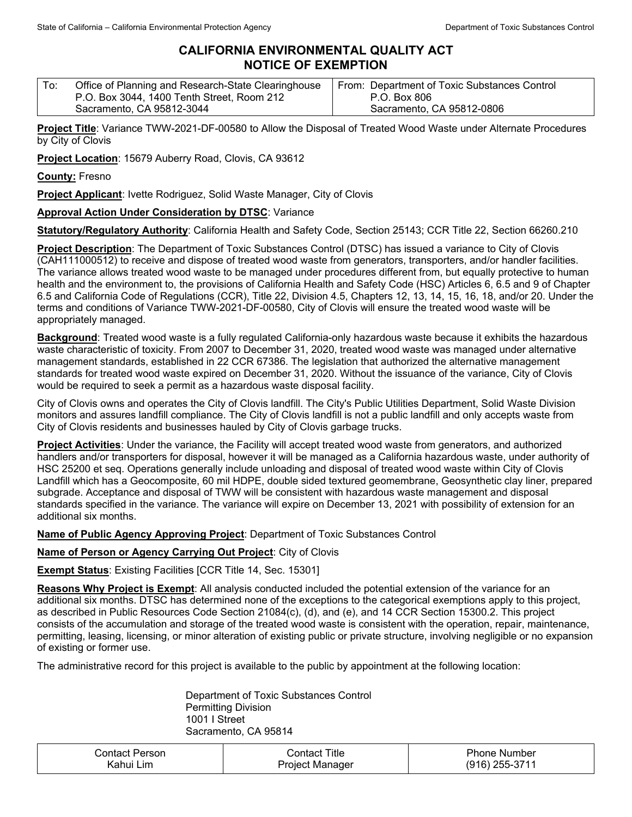## **CALIFORNIA ENVIRONMENTAL QUALITY ACT NOTICE OF EXEMPTION**

| Office of Planning and Research-State Clearinghouse<br>To:<br>P.O. Box 3044, 1400 Tenth Street, Room 212<br>Sacramento, CA 95812-3044 | From: Department of Toxic Substances Control<br>P.O. Box 806<br>Sacramento, CA 95812-0806 |
|---------------------------------------------------------------------------------------------------------------------------------------|-------------------------------------------------------------------------------------------|
|---------------------------------------------------------------------------------------------------------------------------------------|-------------------------------------------------------------------------------------------|

**Project Title**: Variance TWW-2021-DF-00580 to Allow the Disposal of Treated Wood Waste under Alternate Procedures by City of Clovis

**Project Location**: 15679 Auberry Road, Clovis, CA 93612

**County:** Fresno

**Project Applicant**: Ivette Rodriguez, Solid Waste Manager, City of Clovis

## **Approval Action Under Consideration by DTSC**: Variance

**Statutory/Regulatory Authority**: California Health and Safety Code, Section 25143; CCR Title 22, Section 66260.210

**Project Description**: The Department of Toxic Substances Control (DTSC) has issued a variance to City of Clovis (CAH111000512) to receive and dispose of treated wood waste from generators, transporters, and/or handler facilities. The variance allows treated wood waste to be managed under procedures different from, but equally protective to human health and the environment to, the provisions of California Health and Safety Code (HSC) Articles 6, 6.5 and 9 of Chapter 6.5 and California Code of Regulations (CCR), Title 22, Division 4.5, Chapters 12, 13, 14, 15, 16, 18, and/or 20. Under the terms and conditions of Variance TWW-2021-DF-00580, City of Clovis will ensure the treated wood waste will be appropriately managed.

**Background**: Treated wood waste is a fully regulated California-only hazardous waste because it exhibits the hazardous waste characteristic of toxicity. From 2007 to December 31, 2020, treated wood waste was managed under alternative management standards, established in 22 CCR 67386. The legislation that authorized the alternative management standards for treated wood waste expired on December 31, 2020. Without the issuance of the variance, City of Clovis would be required to seek a permit as a hazardous waste disposal facility.

City of Clovis owns and operates the City of Clovis landfill. The City's Public Utilities Department, Solid Waste Division monitors and assures landfill compliance. The City of Clovis landfill is not a public landfill and only accepts waste from City of Clovis residents and businesses hauled by City of Clovis garbage trucks.

**Project Activities**: Under the variance, the Facility will accept treated wood waste from generators, and authorized handlers and/or transporters for disposal, however it will be managed as a California hazardous waste, under authority of HSC 25200 et seq. Operations generally include unloading and disposal of treated wood waste within City of Clovis Landfill which has a Geocomposite, 60 mil HDPE, double sided textured geomembrane, Geosynthetic clay liner, prepared subgrade. Acceptance and disposal of TWW will be consistent with hazardous waste management and disposal standards specified in the variance. The variance will expire on December 13, 2021 with possibility of extension for an additional six months.

**Name of Public Agency Approving Project**: Department of Toxic Substances Control

## **Name of Person or Agency Carrying Out Project**: City of Clovis

**Exempt Status**: Existing Facilities [CCR Title 14, Sec. 15301]

**Reasons Why Project is Exempt**: All analysis conducted included the potential extension of the variance for an additional six months. DTSC has determined none of the exceptions to the categorical exemptions apply to this project, as described in Public Resources Code Section 21084(c), (d), and (e), and 14 CCR Section 15300.2. This project consists of the accumulation and storage of the treated wood waste is consistent with the operation, repair, maintenance, permitting, leasing, licensing, or minor alteration of existing public or private structure, involving negligible or no expansion of existing or former use.

The administrative record for this project is available to the public by appointment at the following location:

Department of Toxic Substances Control Permitting Division 1001 I Street Sacramento, CA 95814

| <b>Contact Person</b> | Contact Title   | <b>Phone Number</b> |
|-----------------------|-----------------|---------------------|
| Kahui Lim             | Project Manager | (916) 255-3711      |